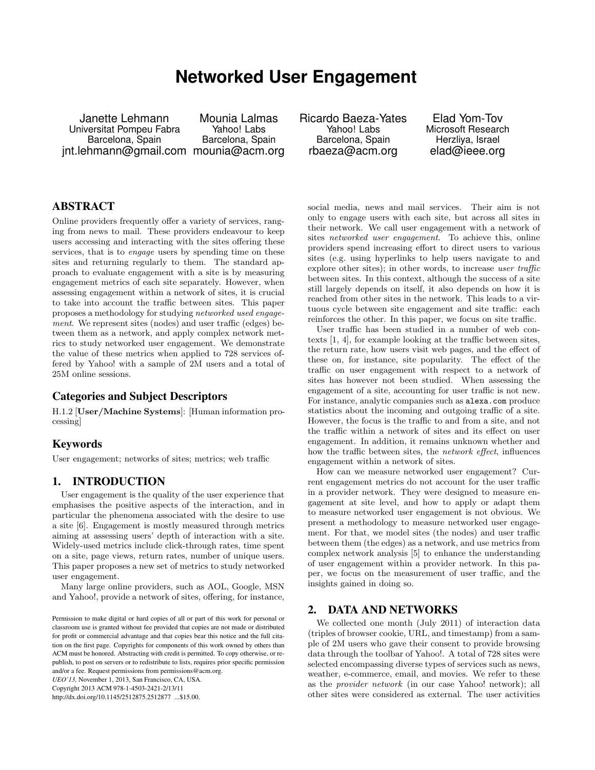# **Networked User Engagement**

Janette Lehmann Universitat Pompeu Fabra Barcelona, Spain jnt.lehmann@gmail.com mounia@acm.org

Mounia Lalmas Yahoo! Labs Barcelona, Spain

Ricardo Baeza-Yates Yahoo! Labs Barcelona, Spain rbaeza@acm.org

Elad Yom-Tov Microsoft Research Herzliya, Israel elad@ieee.org

# ABSTRACT

Online providers frequently offer a variety of services, ranging from news to mail. These providers endeavour to keep users accessing and interacting with the sites offering these services, that is to *engage* users by spending time on these sites and returning regularly to them. The standard approach to evaluate engagement with a site is by measuring engagement metrics of each site separately. However, when assessing engagement within a network of sites, it is crucial to take into account the traffic between sites. This paper proposes a methodology for studying networked used engagement. We represent sites (nodes) and user traffic (edges) between them as a network, and apply complex network metrics to study networked user engagement. We demonstrate the value of these metrics when applied to 728 services offered by Yahoo! with a sample of 2M users and a total of 25M online sessions.

## Categories and Subject Descriptors

H.1.2 [**User/Machine Systems**]: [Human information processing]

#### Keywords

User engagement; networks of sites; metrics; web traffic

## 1. INTRODUCTION

User engagement is the quality of the user experience that emphasises the positive aspects of the interaction, and in particular the phenomena associated with the desire to use a site [6]. Engagement is mostly measured through metrics aiming at assessing users' depth of interaction with a site. Widely-used metrics include click-through rates, time spent on a site, page views, return rates, number of unique users. This paper proposes a new set of metrics to study networked user engagement.

Many large online providers, such as AOL, Google, MSN and Yahoo!, provide a network of sites, offering, for instance,

*UEO'13,* November 1, 2013, San Francisco, CA, USA.

Copyright 2013 ACM 978-1-4503-2421-2/13/11

http://dx.doi.org/10.1145/2512875.2512877 ...\$15.00.

social media, news and mail services. Their aim is not only to engage users with each site, but across all sites in their network. We call user engagement with a network of sites networked user engagement. To achieve this, online providers spend increasing effort to direct users to various sites (e.g. using hyperlinks to help users navigate to and explore other sites); in other words, to increase user traffic between sites. In this context, although the success of a site still largely depends on itself, it also depends on how it is reached from other sites in the network. This leads to a virtuous cycle between site engagement and site traffic: each reinforces the other. In this paper, we focus on site traffic.

User traffic has been studied in a number of web contexts [1, 4], for example looking at the traffic between sites, the return rate, how users visit web pages, and the effect of these on, for instance, site popularity. The effect of the traffic on user engagement with respect to a network of sites has however not been studied. When assessing the engagement of a site, accounting for user traffic is not new. For instance, analytic companies such as alexa.com produce statistics about the incoming and outgoing traffic of a site. However, the focus is the traffic to and from a site, and not the traffic within a network of sites and its effect on user engagement. In addition, it remains unknown whether and how the traffic between sites, the network effect, influences engagement within a network of sites.

How can we measure networked user engagement? Current engagement metrics do not account for the user traffic in a provider network. They were designed to measure engagement at site level, and how to apply or adapt them to measure networked user engagement is not obvious. We present a methodology to measure networked user engagement. For that, we model sites (the nodes) and user traffic between them (the edges) as a network, and use metrics from complex network analysis [5] to enhance the understanding of user engagement within a provider network. In this paper, we focus on the measurement of user traffic, and the insights gained in doing so.

### 2. DATA AND NETWORKS

We collected one month (July 2011) of interaction data (triples of browser cookie, URL, and timestamp) from a sample of 2M users who gave their consent to provide browsing data through the toolbar of Yahoo!. A total of 728 sites were selected encompassing diverse types of services such as news, weather, e-commerce, email, and movies. We refer to these as the provider network (in our case Yahoo! network); all other sites were considered as external. The user activities

Permission to make digital or hard copies of all or part of this work for personal or classroom use is granted without fee provided that copies are not made or distributed for profit or commercial advantage and that copies bear this notice and the full citation on the first page. Copyrights for components of this work owned by others than ACM must be honored. Abstracting with credit is permitted. To copy otherwise, or republish, to post on servers or to redistribute to lists, requires prior specific permission and/or a fee. Request permissions from permissions@acm.org.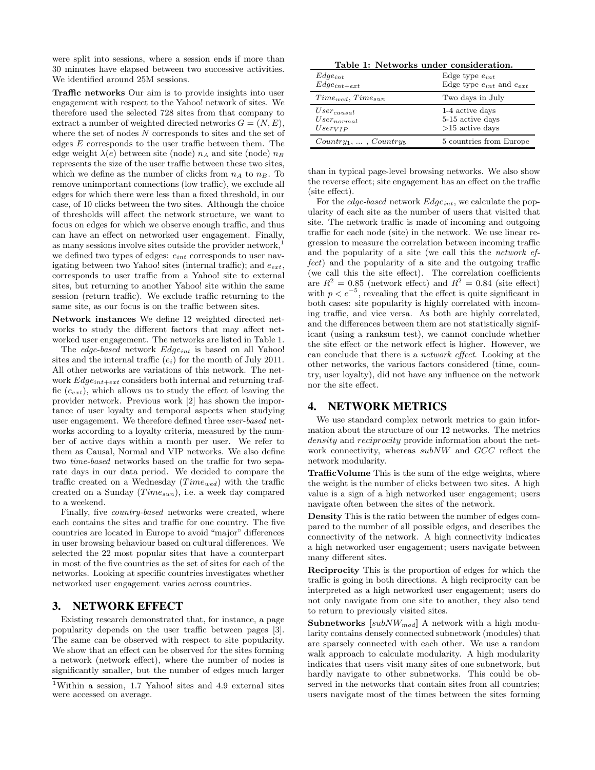were split into sessions, where a session ends if more than 30 minutes have elapsed between two successive activities. We identified around 25M sessions.

**Traffic networks** Our aim is to provide insights into user engagement with respect to the Yahoo! network of sites. We therefore used the selected 728 sites from that company to extract a number of weighted directed networks  $G = (N, E)$ , where the set of nodes  $N$  corresponds to sites and the set of edges  $E$  corresponds to the user traffic between them. The edge weight  $\lambda(e)$  between site (node)  $n_A$  and site (node)  $n_B$ represents the size of the user traffic between these two sites, which we define as the number of clicks from  $n_A$  to  $n_B$ . To remove unimportant connections (low traffic), we exclude all edges for which there were less than a fixed threshold, in our case, of 10 clicks between the two sites. Although the choice of thresholds will affect the network structure, we want to focus on edges for which we observe enough traffic, and thus can have an effect on networked user engagement. Finally, as many sessions involve sites outside the provider network, we defined two types of edges: e*int* corresponds to user navigating between two Yahoo! sites (internal traffic); and e*ext*, corresponds to user traffic from a Yahoo! site to external sites, but returning to another Yahoo! site within the same session (return traffic). We exclude traffic returning to the same site, as our focus is on the traffic between sites.

**Network instances** We define 12 weighted directed networks to study the different factors that may affect networked user engagement. The networks are listed in Table 1.

The edge-based network Edge*int* is based on all Yahoo! sites and the internal traffic (e*i*) for the month of July 2011. All other networks are variations of this network. The network Edge*int*+*ext* considers both internal and returning traffic (e*ext*), which allows us to study the effect of leaving the provider network. Previous work [2] has shown the importance of user loyalty and temporal aspects when studying user engagement. We therefore defined three user-based networks according to a loyalty criteria, measured by the number of active days within a month per user. We refer to them as Causal, Normal and VIP networks. We also define two time-based networks based on the traffic for two separate days in our data period. We decided to compare the traffic created on a Wednesday  $(Time_{wed})$  with the traffic created on a Sunday (*Time<sub>sun</sub>*), i.e. a week day compared to a weekend.

Finally, five country-based networks were created, where each contains the sites and traffic for one country. The five countries are located in Europe to avoid "major" differences in user browsing behaviour based on cultural differences. We selected the 22 most popular sites that have a counterpart in most of the five countries as the set of sites for each of the networks. Looking at specific countries investigates whether networked user engagement varies across countries.

## 3. NETWORK EFFECT

Existing research demonstrated that, for instance, a page popularity depends on the user traffic between pages [3]. The same can be observed with respect to site popularity. We show that an effect can be observed for the sites forming a network (network effect), where the number of nodes is significantly smaller, but the number of edges much larger

**Table 1: Networks under consideration.**

| $Edge_{int}$                   | Edge type $e_{int}$                                   |  |
|--------------------------------|-------------------------------------------------------|--|
| $Edge_{int+ext}$               | Edge type $\mathcal{e}_{int}$ and $\mathcal{e}_{ext}$ |  |
| $Time_{med}, Time_{sun}$       | Two days in July                                      |  |
| $User_{causal}$                | 1-4 active days                                       |  |
| $User_{normal}$                | 5-15 active days                                      |  |
| $User_{VIP}$                   | $>15$ active days                                     |  |
| $Country_1, \ldots, Country_5$ | 5 countries from Europe                               |  |

than in typical page-level browsing networks. We also show the reverse effect; site engagement has an effect on the traffic (site effect).

For the edge-based network Edge*int*, we calculate the popularity of each site as the number of users that visited that site. The network traffic is made of incoming and outgoing traffic for each node (site) in the network. We use linear regression to measure the correlation between incoming traffic and the popularity of a site (we call this the network effect) and the popularity of a site and the outgoing traffic (we call this the site effect). The correlation coefficients are  $R^2 = 0.85$  (network effect) and  $R^2 = 0.84$  (site effect) with  $p < e^{-5}$ , revealing that the effect is quite significant in both cases: site popularity is highly correlated with incoming traffic, and vice versa. As both are highly correlated, and the differences between them are not statistically significant (using a ranksum test), we cannot conclude whether the site effect or the network effect is higher. However, we can conclude that there is a network effect. Looking at the other networks, the various factors considered (time, country, user loyalty), did not have any influence on the network nor the site effect.

## 4. NETWORK METRICS

We use standard complex network metrics to gain information about the structure of our 12 networks. The metrics density and reciprocity provide information about the network connectivity, whereas subNW and GCC reflect the network modularity.

**TrafficVolume** This is the sum of the edge weights, where the weight is the number of clicks between two sites. A high value is a sign of a high networked user engagement; users navigate often between the sites of the network.

**Density** This is the ratio between the number of edges compared to the number of all possible edges, and describes the connectivity of the network. A high connectivity indicates a high networked user engagement; users navigate between many different sites.

**Reciprocity** This is the proportion of edges for which the traffic is going in both directions. A high reciprocity can be interpreted as a high networked user engagement; users do not only navigate from one site to another, they also tend to return to previously visited sites.

**Subnetworks [**subNW*mod***]** A network with a high modularity contains densely connected subnetwork (modules) that are sparsely connected with each other. We use a random walk approach to calculate modularity. A high modularity indicates that users visit many sites of one subnetwork, but hardly navigate to other subnetworks. This could be observed in the networks that contain sites from all countries; users navigate most of the times between the sites forming

<sup>1</sup>Within a session, 1.7 Yahoo! sites and 4.9 external sites were accessed on average.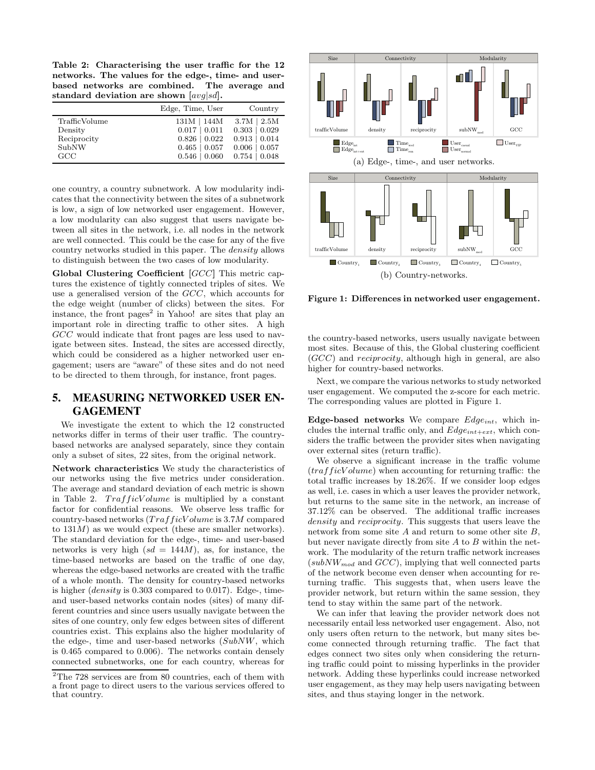**Table 2: Characterising the user traffic for the 12 networks. The values for the edge-, time- and userbased networks are combined. The average and standard deviation are shown [**avg*|*sd**].**

|               | Edge, Time, User   | Country            |
|---------------|--------------------|--------------------|
| TrafficVolume | $131M$   $144M$    | $3.7M \pm 2.5M$    |
| Density       | $0.017 \mid 0.011$ | $0.303 \mid 0.029$ |
| Reciprocity   | $0.826 \mid 0.022$ | $0.913 \mid 0.014$ |
| SubNW         | $0.465 \pm 0.057$  | $0.006 \mid 0.057$ |
| GCC           | $0.546 \mid 0.060$ | $0.754 \pm 0.048$  |

one country, a country subnetwork. A low modularity indicates that the connectivity between the sites of a subnetwork is low, a sign of low networked user engagement. However, a low modularity can also suggest that users navigate between all sites in the network, i.e. all nodes in the network are well connected. This could be the case for any of the five country networks studied in this paper. The density allows to distinguish between the two cases of low modularity.

**Global Clustering Coefficient [**GCC**]** This metric captures the existence of tightly connected triples of sites. We use a generalised version of the GCC, which accounts for the edge weight (number of clicks) between the sites. For instance, the front pages<sup>2</sup> in Yahoo! are sites that play an important role in directing traffic to other sites. A high GCC would indicate that front pages are less used to navigate between sites. Instead, the sites are accessed directly, which could be considered as a higher networked user engagement; users are "aware" of these sites and do not need to be directed to them through, for instance, front pages.

# 5. MEASURING NETWORKED USER EN-GAGEMENT

We investigate the extent to which the 12 constructed networks differ in terms of their user traffic. The countrybased networks are analysed separately, since they contain only a subset of sites, 22 sites, from the original network.

**Network characteristics** We study the characteristics of our networks using the five metrics under consideration. The average and standard deviation of each metric is shown in Table 2.  $TrafficVolume$  is multiplied by a constant factor for confidential reasons. We observe less traffic for country-based networks  $(TrafficVolume$  is 3.7M compared to  $131M$ ) as we would expect (these are smaller networks). The standard deviation for the edge-, time- and user-based networks is very high  $(sd = 144M)$ , as, for instance, the time-based networks are based on the traffic of one day, whereas the edge-based networks are created with the traffic of a whole month. The density for country-based networks is higher (*density* is 0.303 compared to 0.017). Edge-, timeand user-based networks contain nodes (sites) of many different countries and since users usually navigate between the sites of one country, only few edges between sites of different countries exist. This explains also the higher modularity of the edge-, time and user-based networks (SubNW, which is 0.465 compared to 0.006). The networks contain densely connected subnetworks, one for each country, whereas for



**Figure 1: Differences in networked user engagement.**

the country-based networks, users usually navigate between most sites. Because of this, the Global clustering coefficient (GCC) and reciprocity, although high in general, are also higher for country-based networks.

Next, we compare the various networks to study networked user engagement. We computed the z-score for each metric. The corresponding values are plotted in Figure 1.

**Edge-based networks** We compare Edge*int*, which includes the internal traffic only, and Edge*int*+*ext*, which considers the traffic between the provider sites when navigating over external sites (return traffic).

We observe a significant increase in the traffic volume  $(trafficVolume)$  when accounting for returning traffic: the total traffic increases by 18.26%. If we consider loop edges as well, i.e. cases in which a user leaves the provider network, but returns to the same site in the network, an increase of 37.12% can be observed. The additional traffic increases density and reciprocity. This suggests that users leave the network from some site A and return to some other site B, but never navigate directly from site  $A$  to  $B$  within the network. The modularity of the return traffic network increases (subNW*mod* and GCC), implying that well connected parts of the network become even denser when accounting for returning traffic. This suggests that, when users leave the provider network, but return within the same session, they tend to stay within the same part of the network.

We can infer that leaving the provider network does not necessarily entail less networked user engagement. Also, not only users often return to the network, but many sites become connected through returning traffic. The fact that edges connect two sites only when considering the returning traffic could point to missing hyperlinks in the provider network. Adding these hyperlinks could increase networked user engagement, as they may help users navigating between sites, and thus staying longer in the network.

<sup>&</sup>lt;sup>2</sup>The 728 services are from 80 countries, each of them with a front page to direct users to the various services offered to that country.